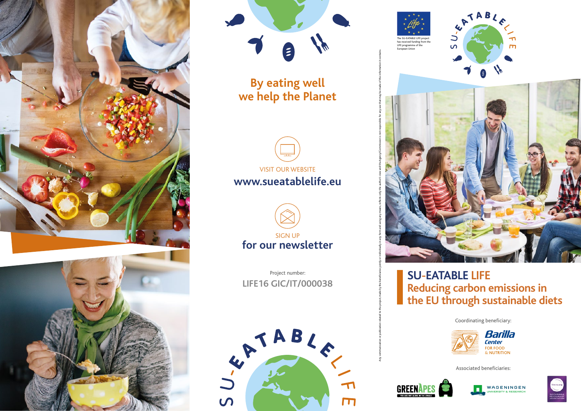





**By eating well we help the Planet**



**www.sueatablelife.eu**



**LIFE16 GIC/IT/000038** Project number:







ัีี่

 $\Box$ 

**SU-EATABLE LIFE Reducing carbon emissions in the EU through sustainable diets**

Coordinating beneficiary:



Associated beneficiaries:



Any communication related to the project, made by the beneficiaries jointly or individually in any form and using any means, reflects only the author's view and the Agency/Commission is not responsible for any use that may